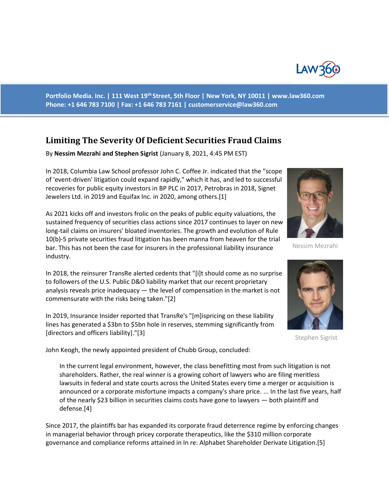

**Portfolio Media. Inc. | 111 West 19th Street, 5th Floor | New York, NY 10011 | www.law360.com Phone: +1 646 783 7100 | Fax: +1 646 783 7161 | customerservice@law360.com**

## **Limiting The Severity Of Deficient Securities Fraud Claims**

By **Nessim Mezrahi and Stephen Sigrist** (January 8, 2021, 4:45 PM EST)

In 2018, Columbia Law School professor John C. Coffee Jr. indicated that the "scope of 'event-driven' litigation could expand rapidly," which it has, and led to successful recoveries for public equity investors in BP PLC in 2017, Petrobras in 2018, Signet Jewelers Ltd. in 2019 and Equifax Inc. in 2020, among others.[1]

As 2021 kicks off and investors frolic on the peaks of public equity valuations, the sustained frequency of securities class actions since 2017 continues to layer on new long-tail claims on insurers' bloated inventories. The growth and evolution of Rule 10(b)-5 private securities fraud litigation has been manna from heaven for the trial bar. This has not been the case for insurers in the professional liability insurance industry.

In 2018, the reinsurer TransRe alerted cedents that "[i]t should come as no surprise to followers of the U.S. Public D&O liability market that our recent proprietary analysis reveals price inadequacy — the level of compensation in the market is not commensurate with the risks being taken."[2]

In 2019, Insurance Insider reported that TransRe's "[m]ispricing on these liability lines has generated a \$3bn to \$5bn hole in reserves, stemming significantly from [directors and officers liability]."[3]

John Keogh, the newly appointed president of Chubb Group, concluded:

In the current legal environment, however, the class benefitting most from such litigation is not shareholders. Rather, the real winner is a growing cohort of lawyers who are filing meritless lawsuits in federal and state courts across the United States every time a merger or acquisition is announced or a corporate misfortune impacts a company's share price. ... In the last five years, half of the nearly \$23 billion in securities claims costs have gone to lawyers — both plaintiff and defense.[4]

Since 2017, the plaintiffs bar has expanded its corporate fraud deterrence regime by enforcing changes in managerial behavior through pricey corporate therapeutics, like the \$310 million corporate governance and compliance reforms attained in In re: Alphabet Shareholder Derivate Litigation.[5]



Nessim Mezrahi



Stephen Sigrist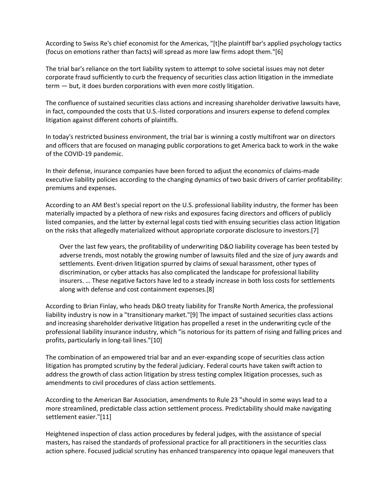According to Swiss Re's chief economist for the Americas, "[t]he plaintiff bar's applied psychology tactics (focus on emotions rather than facts) will spread as more law firms adopt them."[6]

The trial bar's reliance on the tort liability system to attempt to solve societal issues may not deter corporate fraud sufficiently to curb the frequency of securities class action litigation in the immediate term — but, it does burden corporations with even more costly litigation.

The confluence of sustained securities class actions and increasing shareholder derivative lawsuits have, in fact, compounded the costs that U.S.-listed corporations and insurers expense to defend complex litigation against different cohorts of plaintiffs.

In today's restricted business environment, the trial bar is winning a costly multifront war on directors and officers that are focused on managing public corporations to get America back to work in the wake of the COVID-19 pandemic.

In their defense, insurance companies have been forced to adjust the economics of claims-made executive liability policies according to the changing dynamics of two basic drivers of carrier profitability: premiums and expenses.

According to an AM Best's special report on the U.S. professional liability industry, the former has been materially impacted by a plethora of new risks and exposures facing directors and officers of publicly listed companies, and the latter by external legal costs tied with ensuing securities class action litigation on the risks that allegedly materialized without appropriate corporate disclosure to investors.[7]

Over the last few years, the profitability of underwriting D&O liability coverage has been tested by adverse trends, most notably the growing number of lawsuits filed and the size of jury awards and settlements. Event-driven litigation spurred by claims of sexual harassment, other types of discrimination, or cyber attacks has also complicated the landscape for professional liability insurers. … These negative factors have led to a steady increase in both loss costs for settlements along with defense and cost containment expenses.[8]

According to Brian Finlay, who heads D&O treaty liability for TransRe North America, the professional liability industry is now in a "transitionary market."[9] The impact of sustained securities class actions and increasing shareholder derivative litigation has propelled a reset in the underwriting cycle of the professional liability insurance industry, which "is notorious for its pattern of rising and falling prices and profits, particularly in long-tail lines."[10]

The combination of an empowered trial bar and an ever-expanding scope of securities class action litigation has prompted scrutiny by the federal judiciary. Federal courts have taken swift action to address the growth of class action litigation by stress testing complex litigation processes, such as amendments to civil procedures of class action settlements.

According to the American Bar Association, amendments to Rule 23 "should in some ways lead to a more streamlined, predictable class action settlement process. Predictability should make navigating settlement easier."[11]

Heightened inspection of class action procedures by federal judges, with the assistance of special masters, has raised the standards of professional practice for all practitioners in the securities class action sphere. Focused judicial scrutiny has enhanced transparency into opaque legal maneuvers that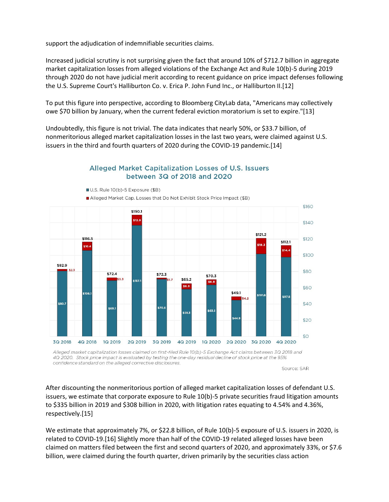support the adjudication of indemnifiable securities claims.

Increased judicial scrutiny is not surprising given the fact that around 10% of \$712.7 billion in aggregate market capitalization losses from alleged violations of the Exchange Act and Rule 10(b)-5 during 2019 through 2020 do not have judicial merit according to recent guidance on price impact defenses following the U.S. Supreme Court's Halliburton Co. v. Erica P. John Fund Inc., or Halliburton II.[12]

To put this figure into perspective, according to Bloomberg CityLab data, "Americans may collectively owe \$70 billion by January, when the current federal eviction moratorium is set to expire."[13]

Undoubtedly, this figure is not trivial. The data indicates that nearly 50%, or \$33.7 billion, of nonmeritorious alleged market capitalization losses in the last two years, were claimed against U.S. issuers in the third and fourth quarters of 2020 during the COVID-19 pandemic.[14]



## Alleged Market Capitalization Losses of U.S. Issuers between 3Q of 2018 and 2020

Alleged market capitalization losses claimed on first-filed Rule 10(b)-5 Exchange Act claims between 3Q 2018 and 4Q 2020. Stock price impact is evaluated by testing the one-day residual decline of stock price at the 95% confidence standard on the alleged corrective disclosures.

Source: SAR

After discounting the nonmeritorious portion of alleged market capitalization losses of defendant U.S. issuers, we estimate that corporate exposure to Rule 10(b)-5 private securities fraud litigation amounts to \$335 billion in 2019 and \$308 billion in 2020, with litigation rates equating to 4.54% and 4.36%, respectively.[15]

We estimate that approximately 7%, or \$22.8 billion, of Rule 10(b)-5 exposure of U.S. issuers in 2020, is related to COVID-19.[16] Slightly more than half of the COVID-19 related alleged losses have been claimed on matters filed between the first and second quarters of 2020, and approximately 33%, or \$7.6 billion, were claimed during the fourth quarter, driven primarily by the securities class action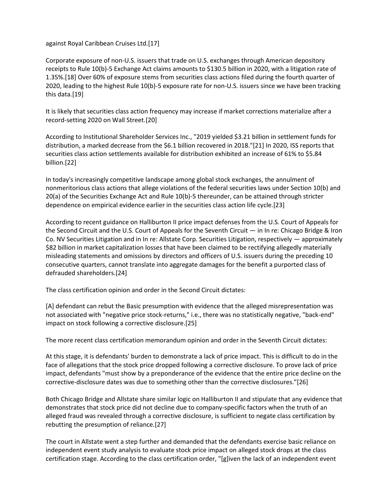against Royal Caribbean Cruises Ltd.[17]

Corporate exposure of non-U.S. issuers that trade on U.S. exchanges through American depository receipts to Rule 10(b)-5 Exchange Act claims amounts to \$130.5 billion in 2020, with a litigation rate of 1.35%.[18] Over 60% of exposure stems from securities class actions filed during the fourth quarter of 2020, leading to the highest Rule 10(b)-5 exposure rate for non-U.S. issuers since we have been tracking this data.[19]

It is likely that securities class action frequency may increase if market corrections materialize after a record-setting 2020 on Wall Street.[20]

According to Institutional Shareholder Services Inc., "2019 yielded \$3.21 billion in settlement funds for distribution, a marked decrease from the \$6.1 billion recovered in 2018."[21] In 2020, ISS reports that securities class action settlements available for distribution exhibited an increase of 61% to \$5.84 billion.[22]

In today's increasingly competitive landscape among global stock exchanges, the annulment of nonmeritorious class actions that allege violations of the federal securities laws under Section 10(b) and 20(a) of the Securities Exchange Act and Rule 10(b)-5 thereunder, can be attained through stricter dependence on empirical evidence earlier in the securities class action life cycle.[23]

According to recent guidance on Halliburton II price impact defenses from the U.S. Court of Appeals for the Second Circuit and the U.S. Court of Appeals for the Seventh Circuit — in In re: Chicago Bridge & Iron Co. NV Securities Litigation and in In re: Allstate Corp. Securities Litigation, respectively — approximately \$82 billion in market capitalization losses that have been claimed to be rectifying allegedly materially misleading statements and omissions by directors and officers of U.S. issuers during the preceding 10 consecutive quarters, cannot translate into aggregate damages for the benefit a purported class of defrauded shareholders.[24]

The class certification opinion and order in the Second Circuit dictates:

[A] defendant can rebut the Basic presumption with evidence that the alleged misrepresentation was not associated with "negative price stock-returns," i.e., there was no statistically negative, "back-end" impact on stock following a corrective disclosure.[25]

The more recent class certification memorandum opinion and order in the Seventh Circuit dictates:

At this stage, it is defendants' burden to demonstrate a lack of price impact. This is difficult to do in the face of allegations that the stock price dropped following a corrective disclosure. To prove lack of price impact, defendants "must show by a preponderance of the evidence that the entire price decline on the corrective-disclosure dates was due to something other than the corrective disclosures."[26]

Both Chicago Bridge and Allstate share similar logic on Halliburton II and stipulate that any evidence that demonstrates that stock price did not decline due to company-specific factors when the truth of an alleged fraud was revealed through a corrective disclosure, is sufficient to negate class certification by rebutting the presumption of reliance.[27]

The court in Allstate went a step further and demanded that the defendants exercise basic reliance on independent event study analysis to evaluate stock price impact on alleged stock drops at the class certification stage. According to the class certification order, "[g]iven the lack of an independent event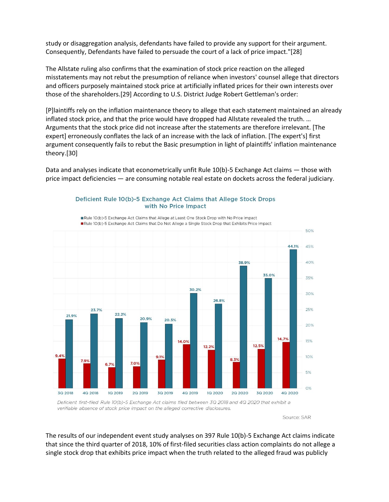study or disaggregation analysis, defendants have failed to provide any support for their argument. Consequently, Defendants have failed to persuade the court of a lack of price impact."[28]

The Allstate ruling also confirms that the examination of stock price reaction on the alleged misstatements may not rebut the presumption of reliance when investors' counsel allege that directors and officers purposely maintained stock price at artificially inflated prices for their own interests over those of the shareholders.[29] According to U.S. District Judge Robert Gettleman's order:

[P]laintiffs rely on the inflation maintenance theory to allege that each statement maintained an already inflated stock price, and that the price would have dropped had Allstate revealed the truth. … Arguments that the stock price did not increase after the statements are therefore irrelevant. [The expert] erroneously conflates the lack of an increase with the lack of inflation. [The expert's] first argument consequently fails to rebut the Basic presumption in light of plaintiffs' inflation maintenance theory.[30]

Data and analyses indicate that econometrically unfit Rule 10(b)-5 Exchange Act claims — those with price impact deficiencies — are consuming notable real estate on dockets across the federal judiciary.



Deficient Rule 10(b)-5 Exchange Act Claims that Allege Stock Drops with No Price Impact

Deficient first-filed Rule 10(b)-5 Exchange Act claims filed between 3Q 2018 and 4Q 2020 that exhibit a verifiable absence of stock price impact on the alleged corrective disclosures.

Source: SAR

The results of our independent event study analyses on 397 Rule 10(b)-5 Exchange Act claims indicate that since the third quarter of 2018, 10% of first-filed securities class action complaints do not allege a single stock drop that exhibits price impact when the truth related to the alleged fraud was publicly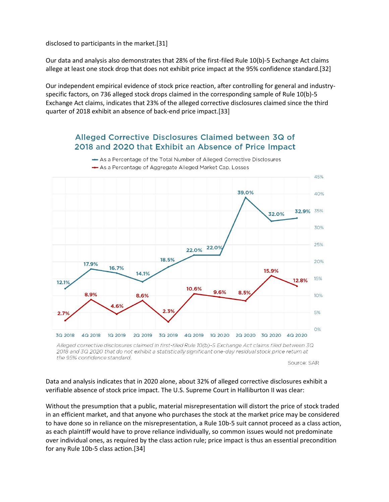disclosed to participants in the market.[31]

Our data and analysis also demonstrates that 28% of the first-filed Rule 10(b)-5 Exchange Act claims allege at least one stock drop that does not exhibit price impact at the 95% confidence standard.[32]

Our independent empirical evidence of stock price reaction, after controlling for general and industryspecific factors, on 736 alleged stock drops claimed in the corresponding sample of Rule 10(b)-5 Exchange Act claims, indicates that 23% of the alleged corrective disclosures claimed since the third quarter of 2018 exhibit an absence of back-end price impact.[33]

## Alleged Corrective Disclosures Claimed between 3Q of 2018 and 2020 that Exhibit an Absence of Price Impact



As a Percentage of the Total Number of Alleged Corrective Disclosures As a Percentage of Aggregate Alleged Market Cap. Losses

Source: SAR

Data and analysis indicates that in 2020 alone, about 32% of alleged corrective disclosures exhibit a verifiable absence of stock price impact. The U.S. Supreme Court in Halliburton II was clear:

Without the presumption that a public, material misrepresentation will distort the price of stock traded in an efficient market, and that anyone who purchases the stock at the market price may be considered to have done so in reliance on the misrepresentation, a Rule 10b-5 suit cannot proceed as a class action, as each plaintiff would have to prove reliance individually, so common issues would not predominate over individual ones, as required by the class action rule; price impact is thus an essential precondition for any Rule 10b-5 class action.[34]

Alleged corrective disclosures claimed in first-filed Rule 10(b)-5 Exchange Act claims filed between 3Q 2018 and 3Q 2020 that do not exhibit a statistically significant one-day residual stock price return at the 95% confidence standard.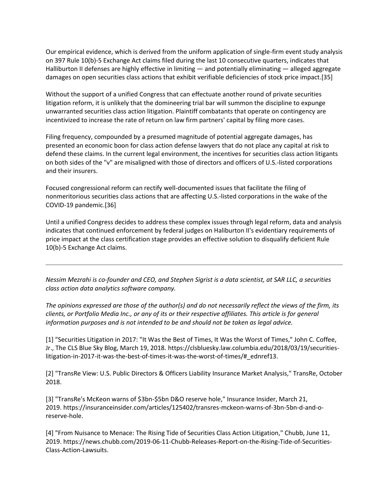Our empirical evidence, which is derived from the uniform application of single-firm event study analysis on 397 Rule 10(b)-5 Exchange Act claims filed during the last 10 consecutive quarters, indicates that Halliburton II defenses are highly effective in limiting — and potentially eliminating — alleged aggregate damages on open securities class actions that exhibit verifiable deficiencies of stock price impact.[35]

Without the support of a unified Congress that can effectuate another round of private securities litigation reform, it is unlikely that the domineering trial bar will summon the discipline to expunge unwarranted securities class action litigation. Plaintiff combatants that operate on contingency are incentivized to increase the rate of return on law firm partners' capital by filing more cases.

Filing frequency, compounded by a presumed magnitude of potential aggregate damages, has presented an economic boon for class action defense lawyers that do not place any capital at risk to defend these claims. In the current legal environment, the incentives for securities class action litigants on both sides of the "v" are misaligned with those of directors and officers of U.S.-listed corporations and their insurers.

Focused congressional reform can rectify well-documented issues that facilitate the filing of nonmeritorious securities class actions that are affecting U.S.-listed corporations in the wake of the COVID-19 pandemic.[36]

Until a unified Congress decides to address these complex issues through legal reform, data and analysis indicates that continued enforcement by federal judges on Haliburton II's evidentiary requirements of price impact at the class certification stage provides an effective solution to disqualify deficient Rule 10(b)-5 Exchange Act claims.

*Nessim Mezrahi is co-founder and CEO, and Stephen Sigrist is a data scientist, at SAR LLC, a securities class action data analytics software company.*

*The opinions expressed are those of the author(s) and do not necessarily reflect the views of the firm, its clients, or Portfolio Media Inc., or any of its or their respective affiliates. This article is for general information purposes and is not intended to be and should not be taken as legal advice.*

[1] "Securities Litigation in 2017: "It Was the Best of Times, It Was the Worst of Times," John C. Coffee, Jr., The CLS Blue Sky Blog, March 19, 2018. https://clsbluesky.law.columbia.edu/2018/03/19/securitieslitigation-in-2017-it-was-the-best-of-times-it-was-the-worst-of-times/#\_ednref13.

[2] "TransRe View: U.S. Public Directors & Officers Liability Insurance Market Analysis," TransRe, October 2018.

[3] "TransRe's McKeon warns of \$3bn-\$5bn D&O reserve hole," Insurance Insider, March 21, 2019. https://insuranceinsider.com/articles/125402/transres-mckeon-warns-of-3bn-5bn-d-and-oreserve-hole.

[4] "From Nuisance to Menace: The Rising Tide of Securities Class Action Litigation," Chubb, June 11, 2019. https://news.chubb.com/2019-06-11-Chubb-Releases-Report-on-the-Rising-Tide-of-Securities-Class-Action-Lawsuits.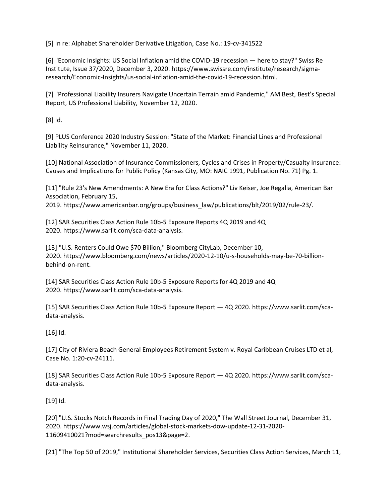[5] In re: Alphabet Shareholder Derivative Litigation, Case No.: 19-cv-341522

[6] "Economic Insights: US Social Inflation amid the COVID-19 recession — here to stay?" Swiss Re Institute, Issue 37/2020, December 3, 2020. https://www.swissre.com/institute/research/sigmaresearch/Economic-Insights/us-social-inflation-amid-the-covid-19-recession.html.

[7] "Professional Liability Insurers Navigate Uncertain Terrain amid Pandemic," AM Best, Best's Special Report, US Professional Liability, November 12, 2020.

[8] Id.

[9] PLUS Conference 2020 Industry Session: "State of the Market: Financial Lines and Professional Liability Reinsurance," November 11, 2020.

[10] National Association of Insurance Commissioners, Cycles and Crises in Property/Casualty Insurance: Causes and Implications for Public Policy (Kansas City, MO: NAIC 1991, Publication No. 71) Pg. 1.

[11] "Rule 23's New Amendments: A New Era for Class Actions?" Liv Keiser, Joe Regalia, American Bar Association, February 15,

2019. https://www.americanbar.org/groups/business\_law/publications/blt/2019/02/rule-23/.

[12] SAR Securities Class Action Rule 10b-5 Exposure Reports 4Q 2019 and 4Q 2020. https://www.sarlit.com/sca-data-analysis.

[13] "U.S. Renters Could Owe \$70 Billion," Bloomberg CityLab, December 10, 2020. https://www.bloomberg.com/news/articles/2020-12-10/u-s-households-may-be-70-billionbehind-on-rent.

[14] SAR Securities Class Action Rule 10b-5 Exposure Reports for 4Q 2019 and 4Q 2020. https://www.sarlit.com/sca-data-analysis.

[15] SAR Securities Class Action Rule 10b-5 Exposure Report — 4Q 2020. https://www.sarlit.com/scadata-analysis.

[16] Id.

[17] City of Riviera Beach General Employees Retirement System v. Royal Caribbean Cruises LTD et al, Case No. 1:20-cv-24111.

[18] SAR Securities Class Action Rule 10b-5 Exposure Report — 4Q 2020. https://www.sarlit.com/scadata-analysis.

[19] Id.

[20] "U.S. Stocks Notch Records in Final Trading Day of 2020," The Wall Street Journal, December 31, 2020. https://www.wsj.com/articles/global-stock-markets-dow-update-12-31-2020- 11609410021?mod=searchresults\_pos13&page=2.

[21] "The Top 50 of 2019," Institutional Shareholder Services, Securities Class Action Services, March 11,